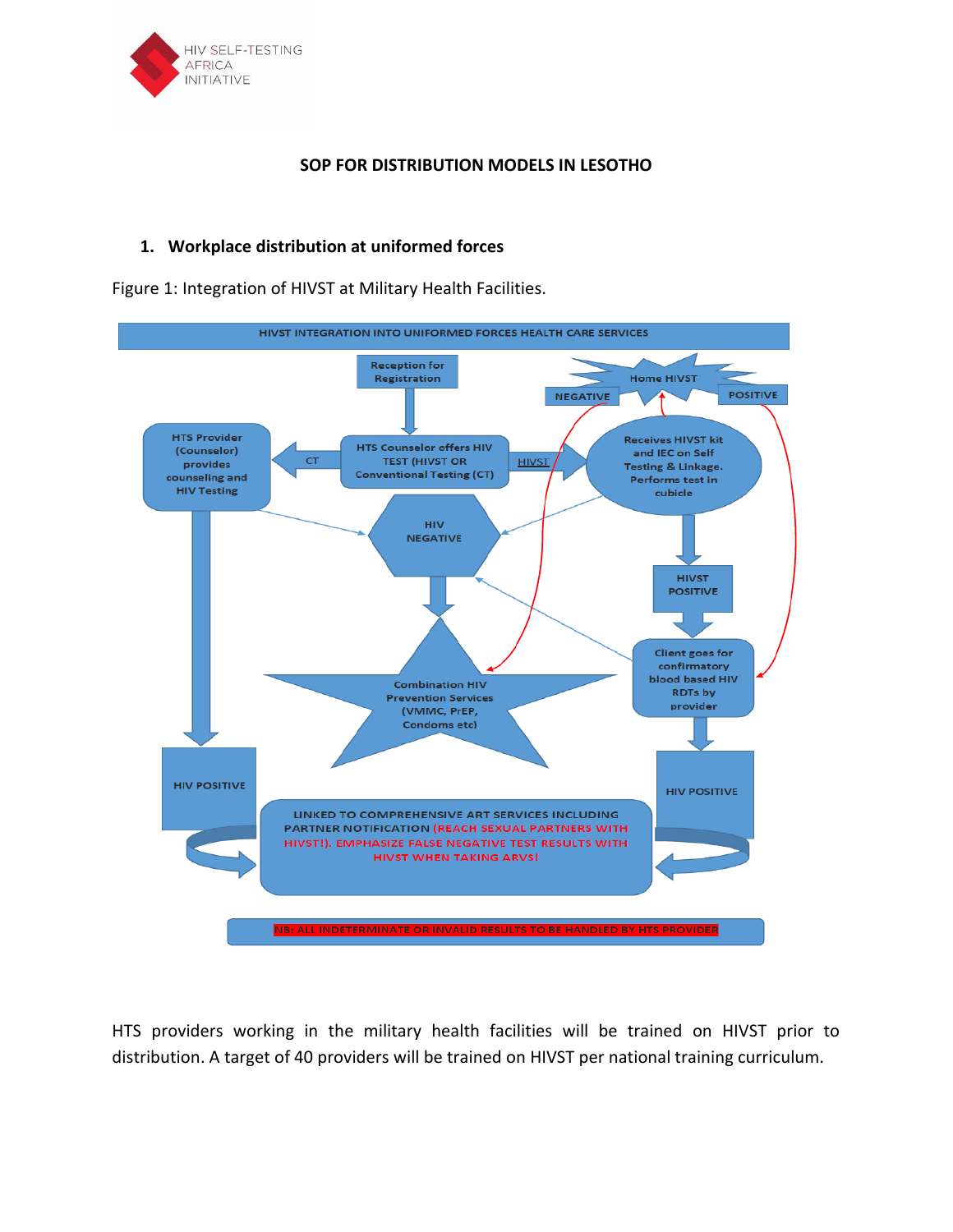

### **SOP FOR DISTRIBUTION MODELS IN LESOTHO**

# **1. Workplace distribution at uniformed forces**

Figure 1: Integration of HIVST at Military Health Facilities.



HTS providers working in the military health facilities will be trained on HIVST prior to distribution. A target of 40 providers will be trained on HIVST per national training curriculum.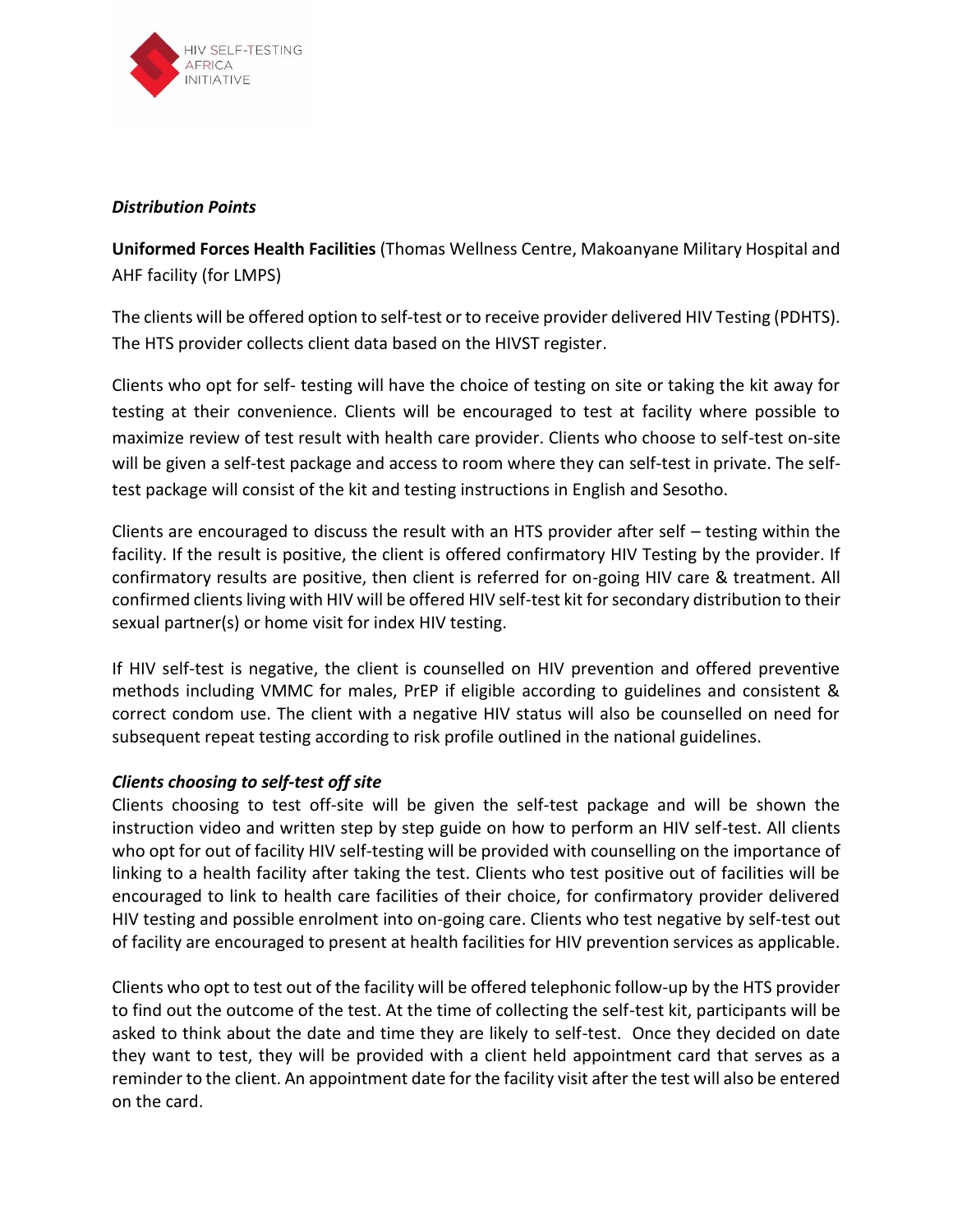

#### *Distribution Points*

**Uniformed Forces Health Facilities** (Thomas Wellness Centre, Makoanyane Military Hospital and AHF facility (for LMPS)

The clients will be offered option to self-test or to receive provider delivered HIV Testing (PDHTS). The HTS provider collects client data based on the HIVST register.

Clients who opt for self- testing will have the choice of testing on site or taking the kit away for testing at their convenience. Clients will be encouraged to test at facility where possible to maximize review of test result with health care provider. Clients who choose to self-test on-site will be given a self-test package and access to room where they can self-test in private. The selftest package will consist of the kit and testing instructions in English and Sesotho.

Clients are encouraged to discuss the result with an HTS provider after self – testing within the facility. If the result is positive, the client is offered confirmatory HIV Testing by the provider. If confirmatory results are positive, then client is referred for on-going HIV care & treatment. All confirmed clients living with HIV will be offered HIV self-test kit for secondary distribution to their sexual partner(s) or home visit for index HIV testing.

If HIV self-test is negative, the client is counselled on HIV prevention and offered preventive methods including VMMC for males, PrEP if eligible according to guidelines and consistent & correct condom use. The client with a negative HIV status will also be counselled on need for subsequent repeat testing according to risk profile outlined in the national guidelines.

# *Clients choosing to self-test off site*

Clients choosing to test off-site will be given the self-test package and will be shown the instruction video and written step by step guide on how to perform an HIV self-test. All clients who opt for out of facility HIV self-testing will be provided with counselling on the importance of linking to a health facility after taking the test. Clients who test positive out of facilities will be encouraged to link to health care facilities of their choice, for confirmatory provider delivered HIV testing and possible enrolment into on-going care. Clients who test negative by self-test out of facility are encouraged to present at health facilities for HIV prevention services as applicable.

Clients who opt to test out of the facility will be offered telephonic follow-up by the HTS provider to find out the outcome of the test. At the time of collecting the self-test kit, participants will be asked to think about the date and time they are likely to self-test. Once they decided on date they want to test, they will be provided with a client held appointment card that serves as a reminder to the client. An appointment date for the facility visit after the test will also be entered on the card.